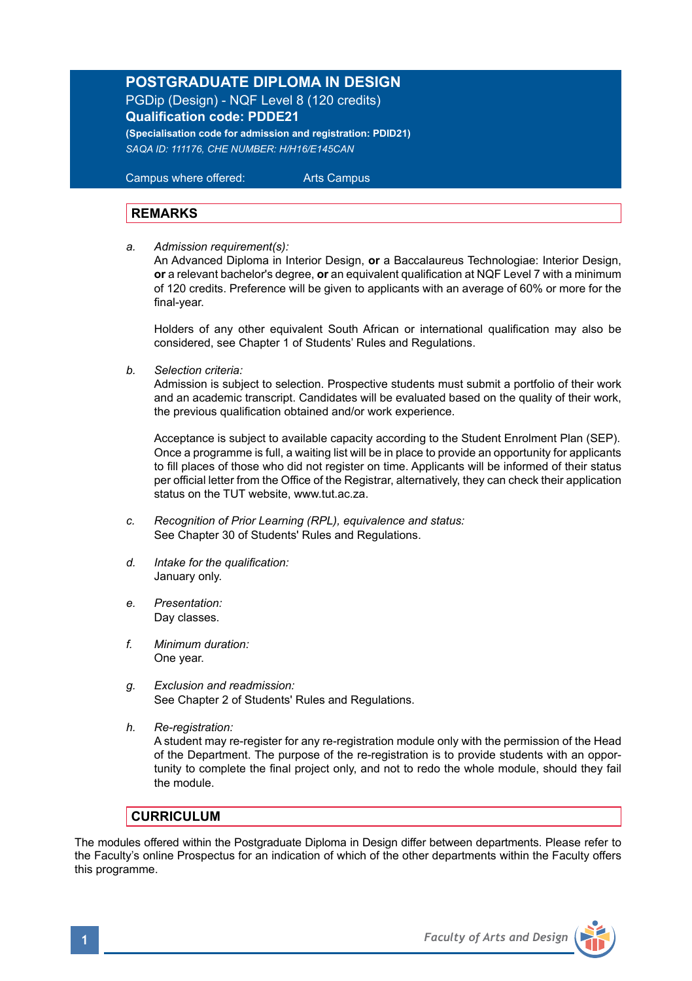# **POSTGRADUATE DIPLOMA IN DESIGN**

PGDip (Design) - NQF Level 8 (120 credits) **Qualification code: PDDE21** 

**(Specialisation code for admission and registration: PDID21)** *SAQA ID: 111176, CHE NUMBER: H/H16/E145CAN* 

 Campus where offered: Arts Campus

# **REMARKS**

*a. Admission requirement(s):* 

An Advanced Diploma in Interior Design, **or** a Baccalaureus Technologiae: Interior Design, **or** a relevant bachelor's degree, **or** an equivalent qualification at NQF Level 7 with a minimum of 120 credits. Preference will be given to applicants with an average of 60% or more for the final-year.

Holders of any other equivalent South African or international qualification may also be considered, see Chapter 1 of Students' Rules and Regulations.

*b. Selection criteria:*

Admission is subject to selection. Prospective students must submit a portfolio of their work and an academic transcript. Candidates will be evaluated based on the quality of their work, the previous qualification obtained and/or work experience.

 Acceptance is subject to available capacity according to the Student Enrolment Plan (SEP). Once a programme is full, a waiting list will be in place to provide an opportunity for applicants to fill places of those who did not register on time. Applicants will be informed of their status per official letter from the Office of the Registrar, alternatively, they can check their application status on the TUT website, www.tut.ac.za.

- *c. Recognition of Prior Learning (RPL), equivalence and status:* See Chapter 30 of Students' Rules and Regulations.
- *d. Intake for the qualification:* January only.
- *e. Presentation:* Day classes.
- *f. Minimum duration:* One year.
- *g. Exclusion and readmission:* See Chapter 2 of Students' Rules and Regulations.
- *h. Re-registration:*

A student may re-register for any re-registration module only with the permission of the Head of the Department. The purpose of the re-registration is to provide students with an opportunity to complete the final project only, and not to redo the whole module, should they fail the module.

# **CURRICULUM**

The modules offered within the Postgraduate Diploma in Design differ between departments. Please refer to the Faculty's online Prospectus for an indication of which of the other departments within the Faculty offers this programme.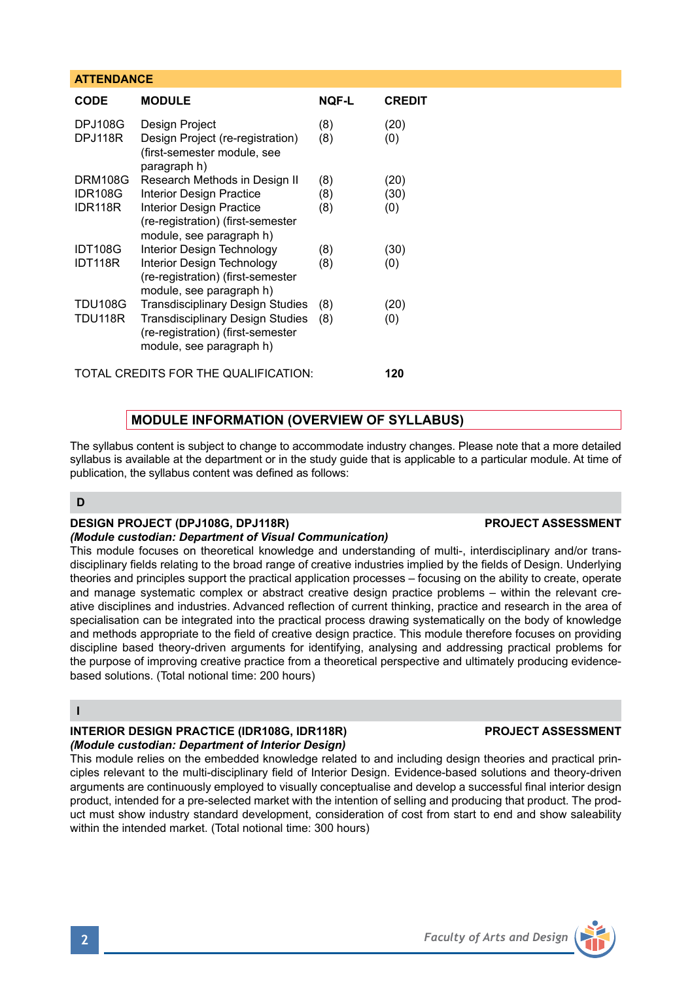## **ATTENDANCE**

| CODE           | <b>MODULE</b>                                                                                     | NQF-L | <b>CREDIT</b> |
|----------------|---------------------------------------------------------------------------------------------------|-------|---------------|
| <b>DPJ108G</b> | Design Project                                                                                    | (8)   | (20)          |
| DPJ118R        | Design Project (re-registration)<br>(first-semester module, see<br>paragraph h)                   | (8)   | (0)           |
| <b>DRM108G</b> | Research Methods in Design II                                                                     | (8)   | (20)          |
| <b>IDR108G</b> | <b>Interior Design Practice</b>                                                                   | (8)   | (30)          |
| IDR118R        | <b>Interior Design Practice</b><br>(re-registration) (first-semester<br>module, see paragraph h)  | (8)   | (0)           |
| <b>IDT108G</b> | Interior Design Technology                                                                        | (8)   | (30)          |
| IDT118R        | Interior Design Technology<br>(re-registration) (first-semester<br>module, see paragraph h)       | (8)   | (0)           |
| <b>TDU108G</b> | <b>Transdisciplinary Design Studies</b>                                                           | (8)   | (20)          |
| <b>TDU118R</b> | Transdisciplinary Design Studies<br>(re-registration) (first-semester<br>module, see paragraph h) | (8)   | (0)           |

TOTAL CREDITS FOR THE QUALIFICATION: **120**

# **MODULE INFORMATION (OVERVIEW OF SYLLABUS)**

The syllabus content is subject to change to accommodate industry changes. Please note that a more detailed syllabus is available at the department or in the study guide that is applicable to a particular module. At time of publication, the syllabus content was defined as follows:

## **D**

### **DESIGN PROJECT (DPJ108G, DPJ118R)** PROJECT ASSESSMENT

*(Module custodian: Department of Visual Communication)*  This module focuses on theoretical knowledge and understanding of multi-, interdisciplinary and/or transdisciplinary fields relating to the broad range of creative industries implied by the fields of Design. Underlying theories and principles support the practical application processes – focusing on the ability to create, operate and manage systematic complex or abstract creative design practice problems – within the relevant creative disciplines and industries. Advanced reflection of current thinking, practice and research in the area of specialisation can be integrated into the practical process drawing systematically on the body of knowledge and methods appropriate to the field of creative design practice. This module therefore focuses on providing discipline based theory-driven arguments for identifying, analysing and addressing practical problems for

### **I**

# **INTERIOR DESIGN PRACTICE (IDR108G, IDR118R) PROJECT ASSESSMENT** *(Module custodian: Department of Interior Design)*

based solutions. (Total notional time: 200 hours)

This module relies on the embedded knowledge related to and including design theories and practical principles relevant to the multi-disciplinary field of Interior Design. Evidence-based solutions and theory-driven arguments are continuously employed to visually conceptualise and develop a successful final interior design product, intended for a pre-selected market with the intention of selling and producing that product. The product must show industry standard development, consideration of cost from start to end and show saleability within the intended market. (Total notional time: 300 hours)

the purpose of improving creative practice from a theoretical perspective and ultimately producing evidence-